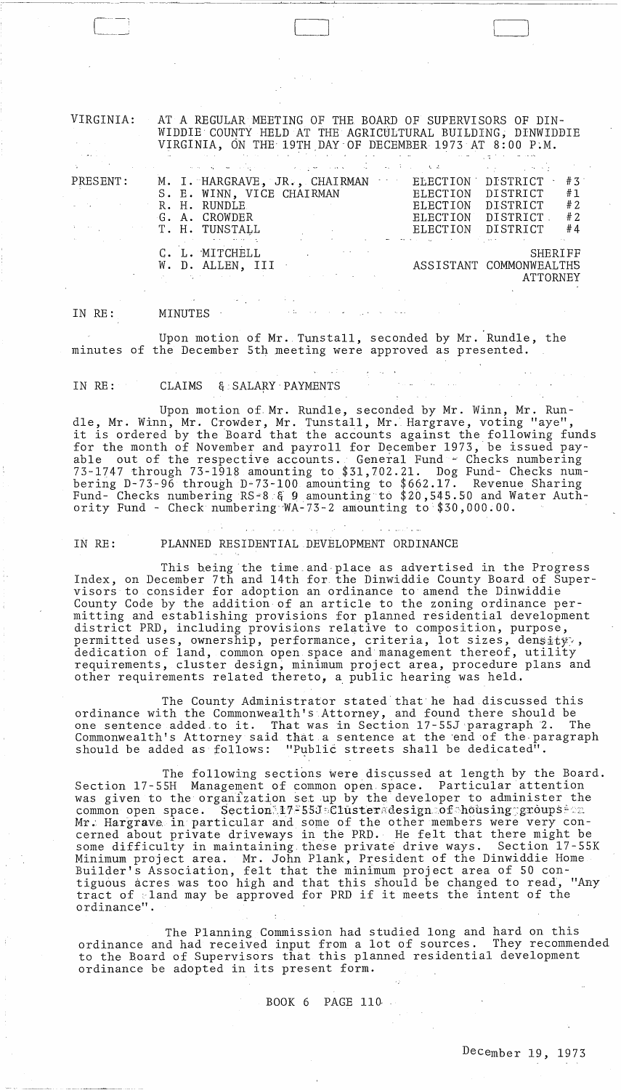VIRGINIA: PRESENT: AT A REGULAR MEETING OF THE BOARD OF SUPERVISORS OF DIN-WIDDIECOUNTY HELD AT THE AGRICULTURAL BUILDING; DINWIDDIE VIRGINIA, ON THE 19TH DAY OF DECEMBER 1973 AT 8:00 P.M. M. I. HARGRAVE, JR., CHAIRMAN ELECTION DISTRICT #3 S. E. WINN, VICE CHAIRMAN BLECTION DISTRICT #1 R. H. RUNDLE ELECTION DISTRICT #2 G. A. CROWDER BLECTION DISTRICT #2<br>T. H. TUNSTALL BLECTION DISTRICT #4 ELECTION DISTRICT

> C. L. MITCHELL SHERIFF SHERIFF SHERIFF SHERIFF SHERIFF SHERIFF ASSISTANT COMMONWEALTHS ATTORNEY

> > $\mathcal{L}_{\mathcal{A}}$  and  $\mathcal{L}_{\mathcal{A}}$  are the following function of the contribution of

IN RE: MINUTES ·

---~~~--~--~ -- ~~-

Upon motion of Mr. Tunstall, seconded by Mr. Rundle, the minutes of the December 5th meeting were approved as presented.

IN RE: CLAIMS & SALARY PAYMENTS

Upon motion of. Mr. Rundle, seconded by Mr. Winn, Mr. Rundle, Mr. Winn, Mr. Crowder, Mr. Tunstall, Mr. Hargrave, voting "aye", it is ordered by the Board that the accounts against the following funds for the month of November and payroll for December 1973, be issued payable out of the respective accounts. General Fund - Checks numbering 73-1747 through 73-1918 amounting to \$31,702.21. Dog Fund- Checks numbering D-73-96 through D-73-100 amounting to \$662.17. Revenue Sharing Fund- Checks numbering RS-8 & 9 amounting to \$20,545.50 and Water Authority Fund - Check numbering"WA-73-2 amounting to \$30,000.00.

 $\mathcal{L}_{\text{max}}(\mathbf{z}) = \mathcal{L}_{\text{max}}(\mathbf{z})$  ,  $\mathcal{L}_{\text{max}}(\mathbf{z})$ IN RE: PLANNED RESIDENTIAL DEVELOPMENT ORDINANCE

This being the time and place as advertised in the Progress Index, on December 7th and 14th for. the Dinwiddie County Board of Supervisors to consider for adoption an ordinance to amend the Dinwiddie County Code by the addition of an article to the zoning ordinance permitting and establishing provisions for planned residential development district PRD, including provisions relative to composition, purpose, district rms, including provisions rolutive to composition, parpose,  $\rho$ permitted uses, ownersing, performance, erredina, roc sizes, densaty,, requirements, cluster design, minimum project area, procedure plans and other requirements related thereto, a public hearing was held.

The County Administrator stated that he had discussed this ordinance with the Commonwealth's Attorney, and found there should be one sentence added to it. That was in Section 17-55J paragraph 2. The Commonwealth's Attorney said that a sentence at the 'end of the· paragraph should be added as follows: "Public streets shall be dedicated".

The following sections were discussed at length by the Board. Section 17-55H Management of common open space. Particular attention was given to the organization set up by the developer to administer the common open space. Section:17-55J=Clusteradesign.of housing groups and Mr. Hargrave in particular and some of the other members were very condefinite in the particular and some of the central members were very centrely in the relation of the felt that there might be some difficulty in maintaining these private drive ways. Section 17-55K Minimum project area. Mr. John Plank, President of the Dinwiddie Home Builder's Association, felt that the minimum project area of 50 contiguous acres was too high and that this s'hould be changed to read, "Any tract of *land* may be approved for PRD if it meets the intent of the ordinance".

The Planning Commission had studied long and hard on this ordinance and had received input from a lot of sources. They recommended to the Board of Supervisors that this planned residential development ordinance be adopted in its present form.

### BOOK 6 PAGE 110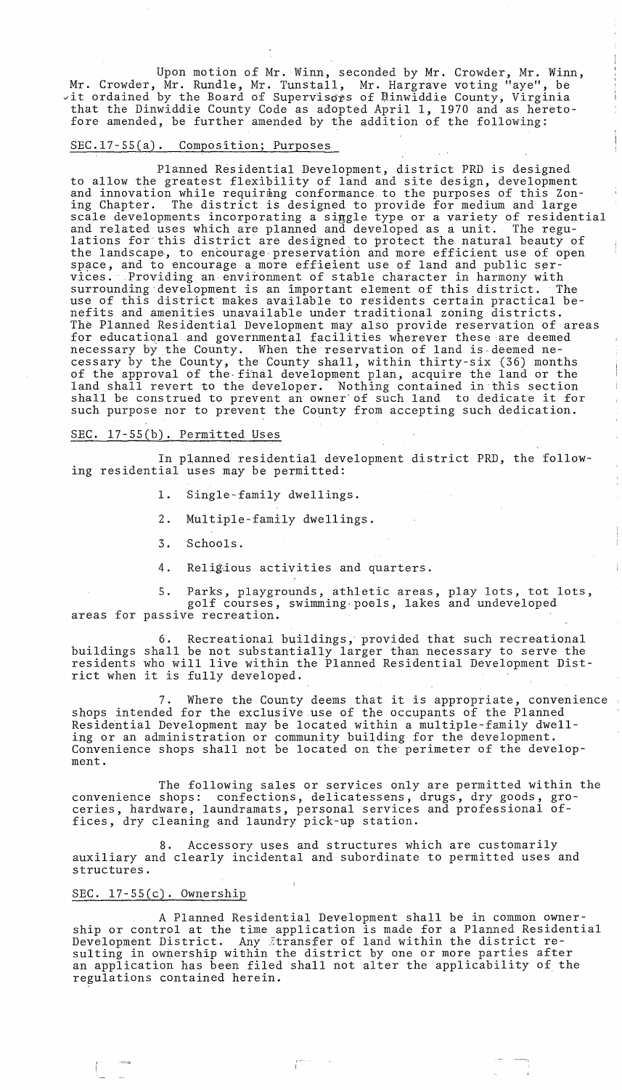Upon motion of Mr. Winn, seconded by Mr. Crowder, Mr. Winn, Mr. Crowder, Mr. Rundle, Mr. Tunstall, Mr. Hargrave voting "aye", be wit ordained by the Board of Superviscrs of Dinwiddie County, Virginia that the Dinwiddie County Code as adopted April 1, 1970 and as heretofore amended, be further amended by the qddition of the following:

### SEC.17-55(a). Composition; Purposes

Planned Residential Development, district PRD is designed to allow the greatest flexibility of land and site design, development and innovation while requirang conformance to the purposes of this Zoning Chapter. The district is designed to provide for medium and large scale developments incorporating a siggle type or a variety of residential and related uses which are planned and developed as a unit. The regulations for this district are designed to protect the natural beauty of the landscape, to encourage preservation and more efficient use of open space, and to encourage a more efficient use of land and public services. Providing an environment of stable character in harmony with<br>surrounding development is an important element of this district. The surrounding development is an important element of this district. use of this district makes available to residents certain practical benefits and amenities unavailable under traditional zoning districts. The Planned Residential Development may also provide reservation of areas for educatiqnal and governmental facilities wherever these are deemed necessary by the County. When the reservation of land is-deemed necessary by the County, the County shall, within thirty-six (36) months of the approval of the·fihal development plan, acquire the land or the land shall revert to the developer. Nothing contained in·this section shall be construed to prevent an' owner'of such land to dedicate it for such purpose nor to prevent the County from accepting such dedication.

### SEC. l7-55(b). Permitted Uses

In planned residential development district PRD, the following residential uses may be permitted:

1. Single-family dwellings.

2. Multiple-family dwellings.

3. Schools.

4. Religious activities and quarters.

5. Parks, playgrounds, athletic areas, play lots, tot lots, golf courses, swimming·poels, lakes and undeveloped areas for passive recreation.

6. Recreational buildings, provided that such recreational buildings shall be not substantially larger than necessary to serve the residents who will live within the Planned Residential Development District when it is fully developed.

7. Where the County deems that it is appropriate, convenience shops intended for the exclusive use of the occupants of the Planned Residential Development may be located within a multiple-family dwelling or an administration or community building for the development. Convenience shops shall not be located on the perimeter of the development.

The following sales or services only are permitted within the convenience shops: confections, delicatessens, drugs, dry goods, groceries, hardware, laundramats, personal services and professional offices, dry cleaning and laundry pick-up station.

Accessory uses and structures which are customarily auxiliary and clearly incidental and subordinate to permitted uses and structures.

## SEC. l7-55(c). Ownership

A Planned Residential Development shall be in common ownership or control at the time application is made for a Planned Residential Development District. Any itransfer of land within the district resulting in ownership within the district by one or more parties after an application has been filed shall not alter the applicability of the regulations contained herein. '

r--· I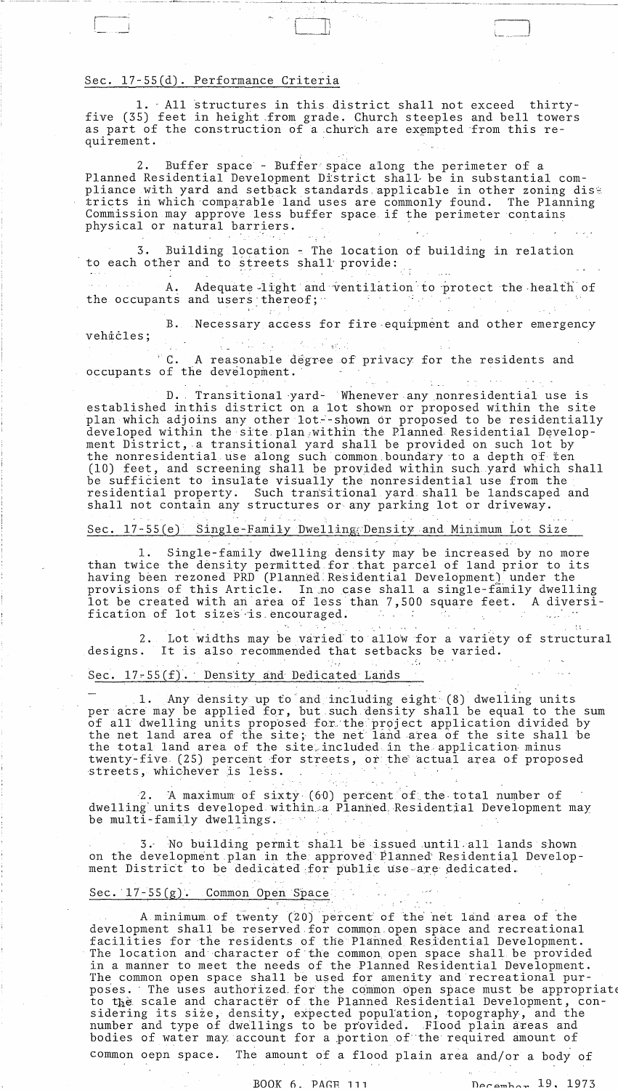## Sec. 17-55(d). Performance Criteria

1. All structures in this district shall not exceed thirtyfive (35) feet in height from grade. Church steeples and bell towers as part of the construction of a church are exempted from this requirement.

Buffer space - Buffer space along the perimeter of a 2. Planned Residential Development District shall be in substantial compliance with yard and setback standards applicable in other zoning dist tricts in which comparable land uses are commonly found. The Planning Commission may approve less buffer space if the perimeter contains physical or natural barriers.

Building location - The location of building in relation 3. to each other and to streets shall provide:

Adequate light and ventilation to protect the health of A. the occupants and users thereof;  $\cdot$ 

B. Necessary access for fire equipment and other emergency vehicles;  $\label{eq:2} \mathcal{F}^{\mathcal{A}}(\mathcal{A}) = \mathcal{F}^{\mathcal{A}}(\mathcal{A}) \mathcal{F}^{\mathcal{A}}(\mathcal{A})$ 了多少 机氧化

"C. A reasonable degree of privacy for the residents and occupants of the development.

D. Transitional yard<sup>2</sup> Whenever any nonresidential use is established inthis district on a lot shown or proposed within the site plan which adjoins any other lot--shown or proposed to be residentially developed within the site plan within the Planned Residential Development District, a transitional yard shall be provided on such lot by the nonresidential use along such common boundary to a depth of ten (10) feet, and screening shall be provided within such yard which shall be sufficient to insulate visually the nonresidential use from the residential property. Such transitional yard shall be landscaped and shall not contain any structures or any parking lot or driveway.

Sec. 17-55(e) Single-Family Dwelling Density and Minimum Lot Size

Single-family dwelling density may be increased by no more ı. than twice the density permitted for that parcel of land prior to its having been rezoned PRD (Planned Residential Development) under the provisions of this Article. In no case shall a single-family dwelling lot be created with an area of less than 7,500 square feet. A diversification of lot sizes is encouraged. i Gorgo

2. Lot widths may be varied to allow for a variety of structural designs. It is also recommended that setbacks be varied.

Sec. 17-55(f). Density and Dedicated Lands

1. Any density up to and including eight (8) dwelling units per acre may be applied for, but such density shall be equal to the sum of all dwelling units proposed for the project application divided by the net land area of the site; the net land area of the site shall be the total land area of the site included in the application minus twenty-five (25) percent for streets, or the actual area of proposed streets, whichever is less.

A maximum of sixty (60) percent of the total number of  $z$ . dwelling units developed within a Planned Residential Development may be multi-family dwellings.

3. No building permit shall be issued until all lands shown on the development plan in the approved Planned Residential Development District to be dedicated for public use are dedicated.

### Sec.  $17-55(g)$ . Common Open Space

A minimum of twenty (20) percent of the net land area of the development shall be reserved for common open space and recreational facilities for the residents of the Planned Residential Development. The location and character of the common open space shall be provided in a manner to meet the needs of the Planned Residential Development. The common open space shall be used for amenity and recreational purposes. The uses authorized for the common open space must be appropriate to the scale and character of the Planned Residential Development, considering its size, density, expected population, topography, and the number and type of dwellings to be provided. Flood plain areas and bodies of water may account for a portion of the required amount of The amount of a flood plain area and/or a body of common oepn space.

December 19, 1973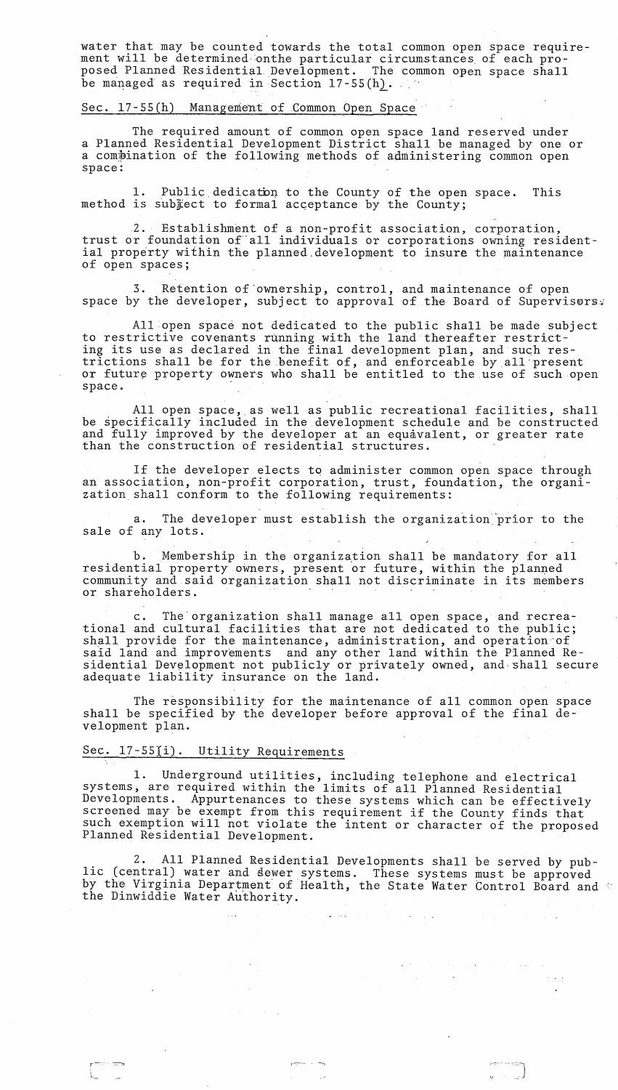water that may be counted towards the total common open space requirement will be determined onthe particular circumstances of each proposed Planned Residential. Development. The common open space shall be managed as required in Section  $17-55(h)$ .

### Sec. l7-55(h) Management of Gommon Open Space

The required amount of common open space land reserved under a Planned Residential Development District shall be managed by one or a compination of the following methods of administering common open space:

1. Public dedicaton to the County of the open space. This method is subject to formal acceptance by the County;

2. Establishment of a non-profit association, corporation, trust or foundation of" all individuals or corporations owning residential property within the planned development to insure the maintenance of open spaces;

3. Retention of 'ownership, control, and maintenance of open space by the developer, subject to approval of the Board of Supervisors.

All open space not dedicated to the public shall be made subject to restrictive covenants running with the land thereafter restricting its use as declared in the final development plan, and such restrictions shall be for the benefit of, and enforceable byall'present or future property owners who shall be entitled to the use of such open space.

All open space, as well as public recreational facilities, shall be specifically included in the development schedule and be constructed and fully improved by the developer at an equavalent, or greater rate than the construction of residential structures.

If the developer elects to administer common open space through an association, non-profit corporation, trust, foundation, the organization. shall conform to the following requirements:

a. The developer must establish the organization prior to the sale of any lots.

b. Membership in the organization shall be mandatory for all residential property owners, present or future, within the planned community and said organization shall not discriminate in its members or shareholders. .

c. The organization shall manage all open space, and recreational and cultural facilities that are not dedicated to the public; shall provide for the maintenance, administration, and operation of said land and improvements and any other land within the Planned Residential Development not publicly or privately owned, and shall secure adequate liability insurance on the land.

The responsibility for the maintenance of all common open space shall be specified by the developer before approval of the final development plan.

### Sec. 17-55(i). Utility Requirements

 $\sim$   $\sim$ 

 $\label{eq:2.1} \mathcal{L}_{\mathcal{A}}(\mathcal{A})=\mathcal{L}_{\mathcal{A}}(\mathcal{A})\mathcal{L}_{\mathcal{A}}(\mathcal{A})=\mathcal{L}_{\mathcal{A}}(\mathcal{A})\mathcal{L}_{\mathcal{A}}(\mathcal{A})\mathcal{L}_{\mathcal{A}}(\mathcal{A})$ 

 $\sim 80\%$ 

L

1. Underground utilities, including telephone and electrical systems, are required within the limits of all Planned Residential Developments. Appurtenances to these systems which can be effectively screened may be exempt from this requirement if the County finds that such exemption will not violate the intent or character of the proposed<br>Planned Residential Development.

2. All Planned Residential Developments shall be served by public (central) water and dewer systems. These systems must be approved by the Virginia Department' of Health, the State Water Control Board and the Dinwiddie Water Authority.

and the second company of the second second the second second second second second second second second second<br>The second second second second second second second second second second second second second second second s

 $r_{\rm max}$  . The second contract of  $\frac{1}{r_{\rm max}}$  . In the second contract of  $\frac{1}{r_{\rm max}}$ 

 $\label{eq:2.1} \mathcal{L}_{\text{max}}(\mathbf{y}) = \mathcal{L}_{\text{max}}(\mathbf{y}) + \mathcal{L}_{\text{max}}(\mathbf{y})$ 

 $\label{eq:2.1} \begin{split} \mathcal{L}_{\mathcal{A}}(\mathbf{z}) & = \mathcal{L}_{\mathcal{A}}(\mathbf{z}) + \mathcal{L}_{\mathcal{A}}(\mathbf{z}) + \mathcal{L}_{\mathcal{A}}(\mathbf{z}) + \mathcal{L}_{\mathcal{A}}(\mathbf{z}) + \mathcal{L}_{\mathcal{A}}(\mathbf{z}) \\ & = \mathcal{L}_{\mathcal{A}}(\mathbf{z}) + \mathcal{L}_{\mathcal{A}}(\mathbf{z}) + \mathcal{L}_{\mathcal{A}}(\mathbf{z}) + \mathcal{L}_{\mathcal{A}}(\mathbf{z}) + \mathcal{L}_{\mathcal{A}}(\$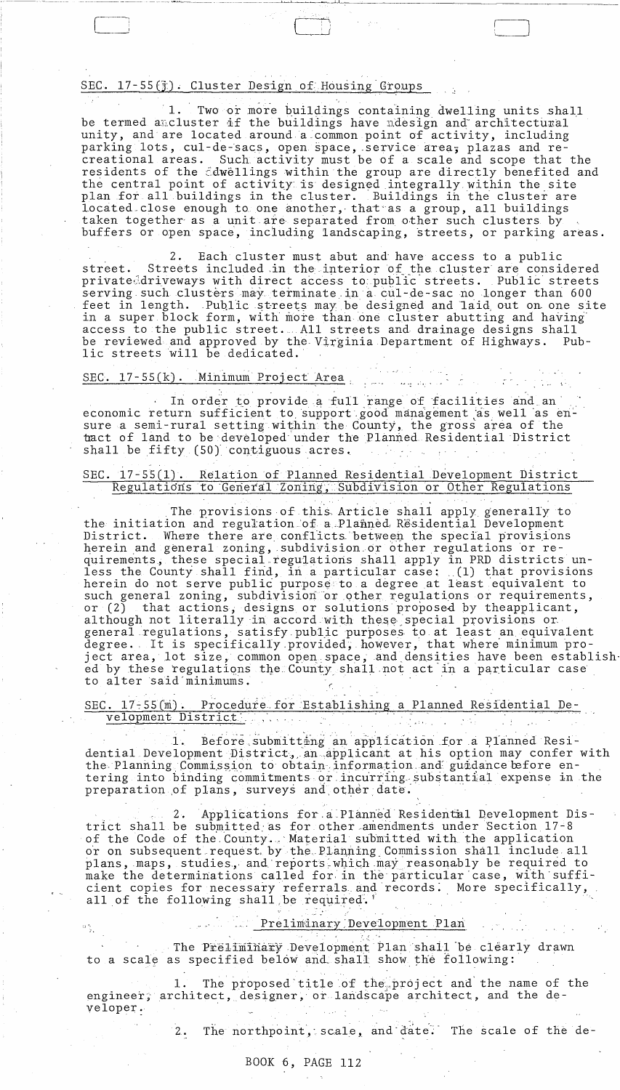## SEC. 17-55(j). Cluster Design of Housing Groups

 $1.$ Two or more buildings containing dwelling units shall be termed aucluster if the buildings have udesign and architectural unity, and are located around a common point of activity, including parking lots, cul-de-sacs, open space, service area; plazas and recreational areas. Such activity must be of a scale and scope that the residents of the dwellings within the group are directly benefited and the central point of activity is designed integrally within the site plan for all buildings in the cluster. Buildings in the cluster are located close enough to one another, that as a group, all buildings taken together as a unit are separated from other such clusters by buffers or open space, including landscaping, streets, or parking areas.

 $2\,$ . Each cluster must abut and have access to a public Streets included in the interior of the cluster are considered street. privateddriveways with direct access to public streets. Public streets serving such clusters may terminate in a cul-de-sac no longer than 600 feet in length. Public streets may be designed and laid out on one site in a super block form, with more than one cluster abutting and having access to the public street. All streets and drainage designs shall be reviewed and approved by the Virginia Department of Highways. -Pub lic streets will be dedicated.

الرائية المستنبذ الكرامية والمتواطنين

# SEC. 17-55(k). Minimum Project Area

In order to provide a full range of facilities and an economic return sufficient to support good management as well as ensure a semi-rural setting within the County, the gross area of the tract of land to be developed under the Planned Residential District shall be fifty (50) contiguous acres.

### SEC.  $17-55(1)$ . Relation of Planned Residential Development District Regulations to General Zoning, Subdivision or Other Regulations

The provisions of this Article shall apply generally to the initiation and regulation of a Planned Residential Development District. Where there are conflicts between the special provisions herein and general zoning, subdivision or other regulations or requirements, these special regulations shall apply in PRD districts unless the County shall find, in a particular case: (1) that provisions herein do not serve public purpose to a degree at least equivalent to such general zoning, subdivision or other regulations or requirements, that actions, designs or solutions proposed by theapplicant,  $\,$ or  $(2)$ although not literally in accord with these special provisions or general regulations, satisfy public purposes to at least an equivalent degree. It is specifically provided, however, that where minimum project area, lot size, common open space, and densities have been establish ed by these regulations the County shall not act in a particular case to alter said minimums.

SEC. 17-55(m). Procedure for Establishing a Planned Residential Development District.

Before submitting an application for a Planned Resi- $\perp$ . dential Development District, an applicant at his option may confer with the Planning Commission to obtain information and guidance efore entering into binding commitments or incurring substantial expense in the preparation of plans, surveys and other date.

Applications for a Planned Residental Development Dis- $2.$ trict shall be submitted as for other amendments under Section 17-8 of the Code of the County. Material submitted with the application or on subsequent request by the Planning Commission shall include all plans, maps, studies, and reports which may reasonably be required to make the determinations called for in the particular case, with sufficient copies for necessary referrals and records. More specifically, all of the following shall be required.

### Preliminary Development Plan

The Preliminary Development Plan shall be clearly drawn to a scale as specified below and shall show the following:

The proposed title of the project and the name of the 1. engineer; architect, designer, or landscape architect, and the developer.

> The northpoint, scale, and date. The scale of the de- $2.$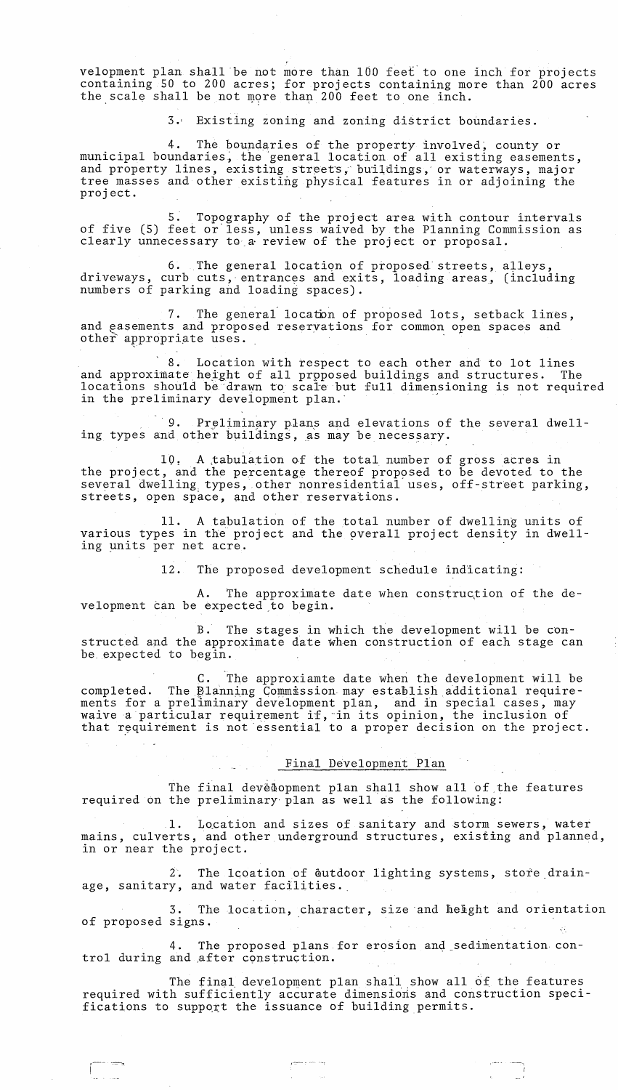velopment plan shall be not more than 100 feet to one inch for projects containing 50 to 200 acres; for projects containing more than 200 acres the scale shall be not more than 200 feet to one inch.

3.' EXisting zoning and zoning district boundaries.

4. The boundaries of the property involved, county or municipal boundaries, the general location of all existing easements, and property lines, existing streets, buildings, or waterways, major tree masses and other existing physical features in or adjoining the proj ect.

5: Topography of the project area with contour intervals of five (5) feet or'less, unless waived by the Planning Commission as clearly unnecessary to,& review of the project or proposal.

6. The general location of proposed streets, alleys, driveways, curb cuts, entrances and exits, loading areas, (including numbers of parking and loading spaces).

7. The general locaton of proposed lots, setback lines, and easements and proposed reservations for common open spaces and other appropriate uses.

8. Location with respect to each other and to lot lines and approximate height of all proposed buildings and structures. The locations should be 'drawn to scare but full dimensioning is not required 7. The general location of proposed lots, s<br>and easements and proposed reservations for common open<br>other appropriate uses.<br>8. Location with respect to each other and<br>and approximate height of all proposed buildings and st

9. Preliminary plans and elevations of the several dwelling types and other buildings, as may be necessary.

10. A tabulation of the total number of gross acres in the project, and the percentage thereof proposed to be devoted to the several dwelling types, other nonresidential uses, off-street parking, streets, open space, and other reservations.

11. A tabulation of the total number of dwelling units of various types in the project and the overall project density in dwelling units per net acre.

12. The proposed development schedule indicating:

A. The approximate date when construc,tion of the development can be expected ,to begin.

B. The stages in which the development will be constructed and the approximate date when construction of each stage can be expected to begin.

C. The approxiamte date when the development will be completed. The Planning Commission may establish additional requirements for a preliminary development plan, and in special cases, may ments for a prefiminary development pian, and in special cases, ma,<br>waive a particular requirement if, in its opinion, the inclusion of that requirement is not essential to a proper decision on the project.

### Final Development Plan

The final development plan shall show all of the features required on the preliminary plan as well as the following:

1. Location and sizes of sanitary and storm sewers, water mains, culverts, and other underground structures, existing and planned, in or near the project.

2. The leoation of dutdoor lighting systems, store drainage, sanitary, and water facilities.

3. The location, character, size and helight and orientation of proposed signs.

4. The proposed plans for erosion and sedimentation control during and after construction.

The final development plan shall show all of the features required with sufficiently accurate dimensions and construction specifications to support the issuance of building permits.

-:-:::::--:,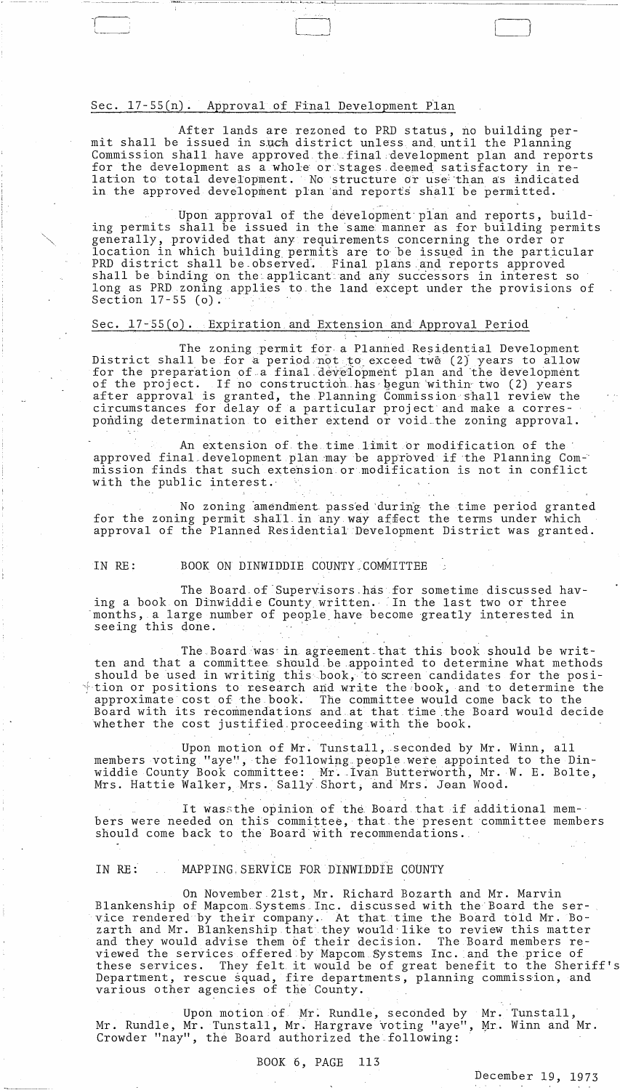### Sec. 17-55(n). Approval of Final Development Plan

After lands are rezoned to ERD status, no building permit shall be issued in such district unless and until the Planning Commission shall have approved. the final ,development plan and reports for the development as a whole or stages deemed satisfactory in relation to total development. No structure or use than as indicated in the approved development plan and reports shall be permitted.

LJ

Upon approval of the development plan and reports, building permits shall be issued in the 'same manner as for building permits generally, provided that any requirements concerning the order or location in which building permits are to be issued in the particular PRD district shall be observed. Final plans and reports approved shall be binding on the applicant and any successors in interest so long as PRD zoning applies to the land except under the provisions of Section 17-55 (0).

### Sec. *17-55(0).* Expiration and Extension and Approval Period

The zoning permit for a Planned Residential Development District shall be for a period not to exceed two (2) years to allow for the preparation of a final development plan and the development of the project. If no construction has begun within two (2) years after approval is granted, the Planning Commission shall review the circumstances for delay of a particular project and make a corresponding determination to either extend or void the zoning approval.

An extension of the. time limit or modification of the' approved final development plan may be approved if the Planning Com-' mission finds that such extension or modification is not in conflict with the public interest.'

No zoning amendment passed during the time period granted for the zoning permit shall in any way affect the terms under which approval of the Planned Residential Development District was granted.

### IN RE: BOOK ON DINWIDDIE COUNTY COMMITTEE

The Board of Supervisors has for sometime discussed having a book on Dinwiddie County written. In the last two or three months, a large number of people have become greatly interested in seeing this done.

The Board was in agreement that this book should be written and that a committee should be appointed to determine what methods should be used in writing this book, to screen candidates for the posi- $\dagger$  tion or positions to research and write the book, and to determine the approximate cost of the book. The committee would come back to the Board with its recommendations and at that time ,the Board would decide whether the cost justified. proceeding with the book.

Upon motion of Mr. Tunstall, seconded by Mr. Winn, all members voting "aye", the following people were appointed to the Dinwiddie County Book committee: Mr .. Ivan Butterworth, Mr. W. E. Bolte, Mrs. Hattie Walker, Mrs. Sally Short, and Mrs. Joan Wood.

It wassthe opinion of the Board that if additional members were needed on this committee, that the present committee members should come back to the Board with recommendations.

### IN RE: MAPPING SERVICE FOR DINWIDDIE COUNTY

On November 21st, Mr. Richard Bozarth and Mr. Marvin Blankenship of Mapcom, Systems Inc. discussed with the Board the service rendered by their company .. ' At that time the Board told Mr. Bozarth and Mr. Blankenship that they would like to review this matter and they would advise them of their decision. The Board members reviewed the services offered by Mapcom Systems Inc. and the price of these services. They felt it would be of great benefit to the Sheriff's Department, rescue squad, fire departments, planning commiss'ion, and various other agencies of the County.

Upon motion of Mr. Rundle, seconded by Mr. Tunstall, Mr. Rundle, Mr. Tunstall, Mr. Hargrave voting "aye", Mr. Winn and Mr. Crowder "nay", the Board authorized the following:

### BOOK 6, PAGE 113

December 19, 1973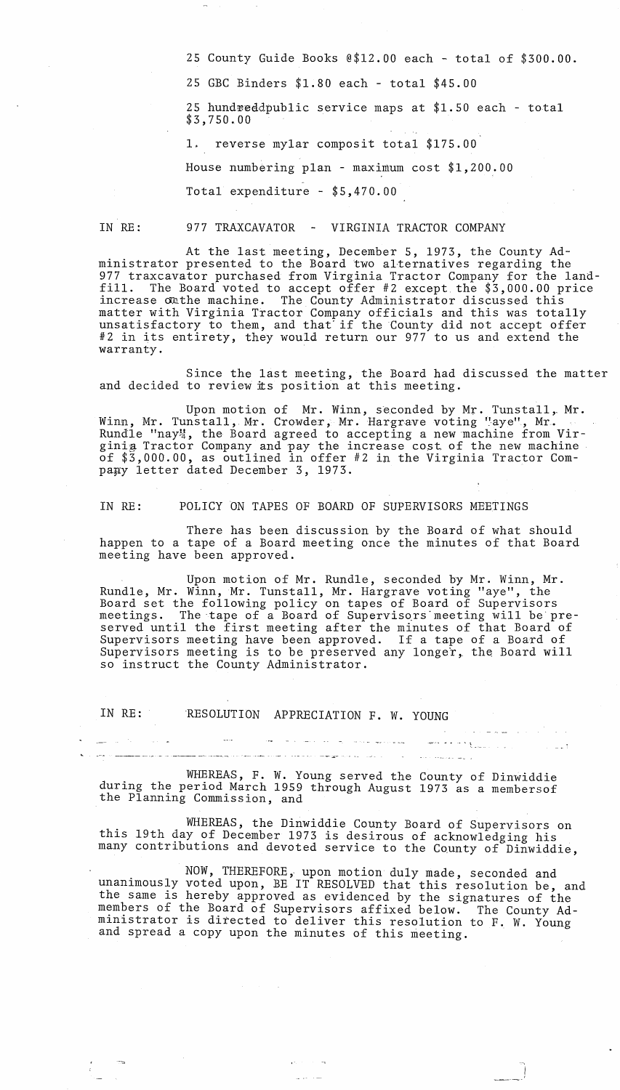25 County Guide Books @\$12.00 each - total of \$300.00.

25 GBC Binders \$1.80 each - total \$45.00

 $25$  hundreddpublic service maps at  $$1.50$  each - total \$3,750.00

1. reverse mylar composit total \$175.00

House numbering plan - maximum cost \$1,200.00

Total expenditure - \$5,470.00

### IN RE: 977 TRAXCAVATOR - VIRGINIA TRACTOR COMPANY

At the last meeting, December 5, 1973, the County Administrator presented to the Board two alternatives regarding the 977 traxcavator purchased from Virginia Tractor Company for the land-<br>fill. The Board voted to accept offer #2 except the \$3,000.00 price The Board voted to accept offer #2 except the  $$3,000.00$  price increase on the machine. The County Administrator discussed this matter with Virginia Tractor Company officials and this was totally unsatisfactory to them, and that' if the County did not accept offer #2 in its entirety, they would return our 977 to us and extend the warranty.

Since the last meeting, the Board had discussed the matter and decided to review its position at this meeting.

Upon motion of Mr. Winn, seconded by Mr. Tunstall, Mr. Winn, Mr. Tunstall, Mr. Crowder, Mr. Hargrave voting "aye", Mr. Rundle "nay", the Board agreed to accepting a new machine from Virginig Tractor Company and pay the increase cost, of the new machine of \$3,000.00, as outlined in offer #2 in the Virginia Tractor Com pany letter dated December 3, 1973.

IN RE: POLICY ON TAPES OF BOARD OF SUPERVISORS MEETINGS

There has been discussion by the Board of what should happen to a tape of a Board meeting once the minutes of that Board meeting have been approved.

Upon motion of Mr. Rundle, seconded by Mr. Winn, Mr. Rundle, Mr. Winn, Mr. Tunstall, Mr. Hargrave voting "aye", the Board set the following policy on tapes of Board of Supervisors meetings. The tape of a Board of Supervisors meeting will be preserved until the first meeting after the minutes of that Board of Supervisors meeting have been approved. If a tape of a Board of Supervisors meeting is to be preserved any longer, the Board will so instruct the County Administrator.

IN RE: RESOLUTION APPRECIATION F. W. YOUNG

 $\mathcal{A}=\{x_1,\ldots,x_n\}$ 

المنابل المتراكب

WHEREAS, F. W. Young served the County of Dinwiddie during the period March 1959 through August 1973 as a membersof the Planning Commission, and

WHEREAS, the Dinwiddie County Board of Supervisors on this 19th day of December 1973 is desirous of acknowledging his many contributions and devoted service to the County of Dinwiddie,

المالية أن المالية السابقة التي ترتيب التي .<br>وأضاف المالية المالية المستوى في المعاون المستوى المستوى المعاون التي تتم المستوى المعاونة المعاون المعاون الم<br>وأضاف المالية المعاون المعاون المالية المستوى المعاون المعاونة ال

NOW, THEREFORE, upon motion duly made, seconded and unanimously voted upon, BE IT RESOLVED that this resolution be, and the same is hereby approved as evidenced by the signatures of the members of the Board of Supervisors affixed below. The County Administrator is directed to deliver this resolution to F. W. Young and spread a copy upon the minutes of this meeting.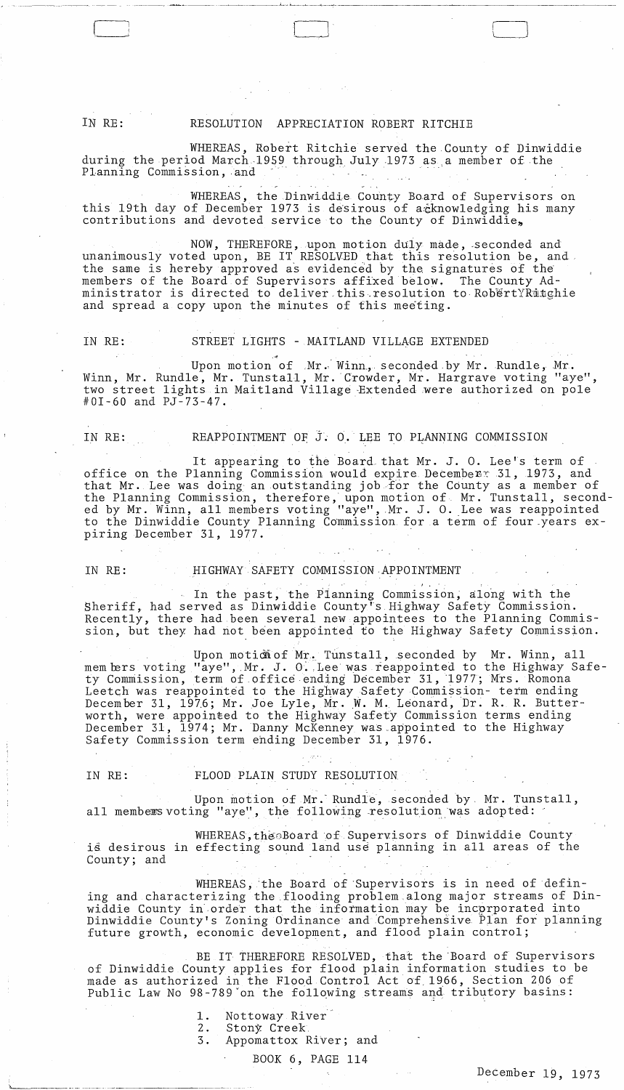IN RE: RESOLUTION APPRECIATION ROBERT RITCHIE

LJ

WHEREAS, Robert Ritchie served the County of Dinwiddie during the period March 1959 through July 1973 as a member of the Planning Commission, and

WHEREAS, the Dinwiddie County Board of Supervisors on this 19th day of December 1973 is desirous of a knowledging his many contributions and devoted service to the County of Dinwiddie,

NOW, THEREFORE, upon motion duly made, seconded and unanimously voted upon, BE IT RESOLVED that this resolution be, and the same is hereby approved as evidenced by the signatures of the members of the Board of Supervisors affixed below. The County Administrator is directed to deliver this resolution to RobertYRitghie and spread a copy upon the minutes of this meeting.

### IN RE: STREET LIGHTS - MAITLAND VILLAGE EXTENDED

,~ Upon motion of Mr. Winn, seconded by Mr. Rundle, Mr. Winn, Mr. Rundle, Mr. Tunstall, Mr. Crowder, Mr. Hargrave voting "aye", two street lights in Maitland Village Extended were authorized on pole #01-60 and PJ-73-47.

### IN RE: REAPPOINTMENT OF J. O. LEE TO PLANNING COMMISSION

 $\cdot$  .

It appearing to the Board that Mr. J. O. Lee's term of office on the Planning Commission would expire December: 31, 1973, and that Mr. Lee was doing an outstanding job for the County as a member of the Planning Commission, therefore, upon motion of Mr. Tunstall, seconded by Mr. Winn, all members voting "aye", Mr. J. O. Lee was reappointed to the Dinwiddie County Planning Commission for a term of four years expiring December 31, 1977.

### IN RE: HIGHWAY SAFETY COMMISSION,APPOINTMENT

In the past, the Planning Commission, along with the Sheriff, had served as Dinwiddie County's Highway Safety Commission. Recently, there had been several new appointees to the Planning Commission, but they had not been appointed to the Highway Safety Commission.

Upon motion of Mr. Tunstall, seconded by Mr. Winn, all mem bers voting "aye", Mr. J. O. Lee was reappointed to the Highway Safety Commission, term of office ending December 31, 1977; Mrs. Romona Leetch was reappointed to the Highway Safety Commission- term ending December 31, 1976; Mr. Joe Lyle, Mr. W. M. Leonard, Dr. R. R. Butterworth, were appointed to the Highway Safety Commission terms ending December 31, 1974; Mr. Danny McKenney was\_appointed to the Highway Safety Commission term ending December 31, 1976.

'------\_.\_ .. ---.-- .. -.------

## IN RE: FLOOD PLAIN STUDY RESOLUTION

Upon motion of Mr. Rundle, seconded by Mr. Tunstall, all members voting "aye", the following resolution was adopted:

WHEREAS, the Board of Supervisors of Dinwiddie County is desirous in effecting sound land use planning in all areas of the County; and

WHEREAS, the Board of Supervisors is in need of defining and characterizing the flooding problem ,along major streams of Dinwiddie County in order that the information may be incorporated into Dinwiddie County's Zoning Ordinance and Comprehensive Plan for planning future growth, economic development, and flood plain control;

BE IT THEREFORE RESOLVED, that the 'Board of Supervisors of Dinwiddie County applies for flood plain information studies to be made as authorized in the Flood Control Act of 1966, Section 206 of Public Law No 98-789 on the following streams and tributory basins:

- 1. Nottoway River
- 2. Stony: Creek
- 3. Appomattox River; and

*BOOK* 6, PAGE 114